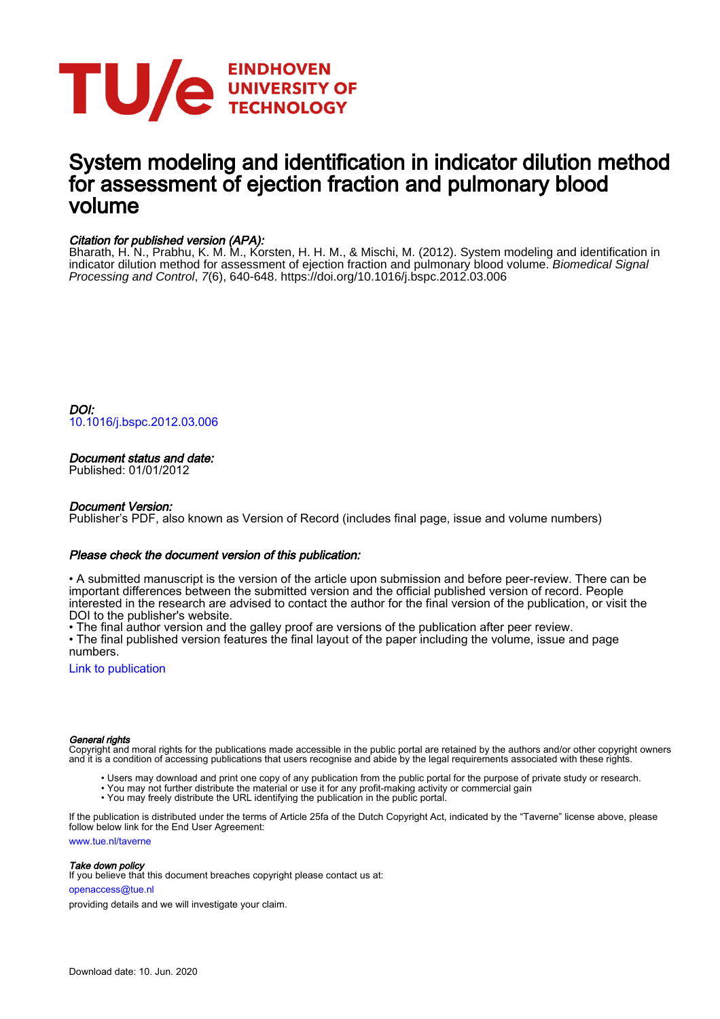

# System modeling and identification in indicator dilution method for assessment of ejection fraction and pulmonary blood volume

# Citation for published version (APA):

Bharath, H. N., Prabhu, K. M. M., Korsten, H. H. M., & Mischi, M. (2012). System modeling and identification in indicator dilution method for assessment of ejection fraction and pulmonary blood volume. Biomedical Signal Processing and Control, 7(6), 640-648.<https://doi.org/10.1016/j.bspc.2012.03.006>

DOI: [10.1016/j.bspc.2012.03.006](https://doi.org/10.1016/j.bspc.2012.03.006)

# Document status and date:

Published: 01/01/2012

# Document Version:

Publisher's PDF, also known as Version of Record (includes final page, issue and volume numbers)

# Please check the document version of this publication:

• A submitted manuscript is the version of the article upon submission and before peer-review. There can be important differences between the submitted version and the official published version of record. People interested in the research are advised to contact the author for the final version of the publication, or visit the DOI to the publisher's website.

• The final author version and the galley proof are versions of the publication after peer review.

• The final published version features the final layout of the paper including the volume, issue and page numbers.

[Link to publication](https://research.tue.nl/en/publications/system-modeling-and-identification-in-indicator-dilution-method-for-assessment-of-ejection-fraction-and-pulmonary-blood-volume(9854396b-3052-4d4e-b157-03483fe29635).html)

# General rights

Copyright and moral rights for the publications made accessible in the public portal are retained by the authors and/or other copyright owners and it is a condition of accessing publications that users recognise and abide by the legal requirements associated with these rights.

- Users may download and print one copy of any publication from the public portal for the purpose of private study or research.
- You may not further distribute the material or use it for any profit-making activity or commercial gain
	- You may freely distribute the URL identifying the publication in the public portal.

If the publication is distributed under the terms of Article 25fa of the Dutch Copyright Act, indicated by the "Taverne" license above, please follow below link for the End User Agreement:

www.tue.nl/taverne

# Take down policy

If you believe that this document breaches copyright please contact us at:

openaccess@tue.nl

providing details and we will investigate your claim.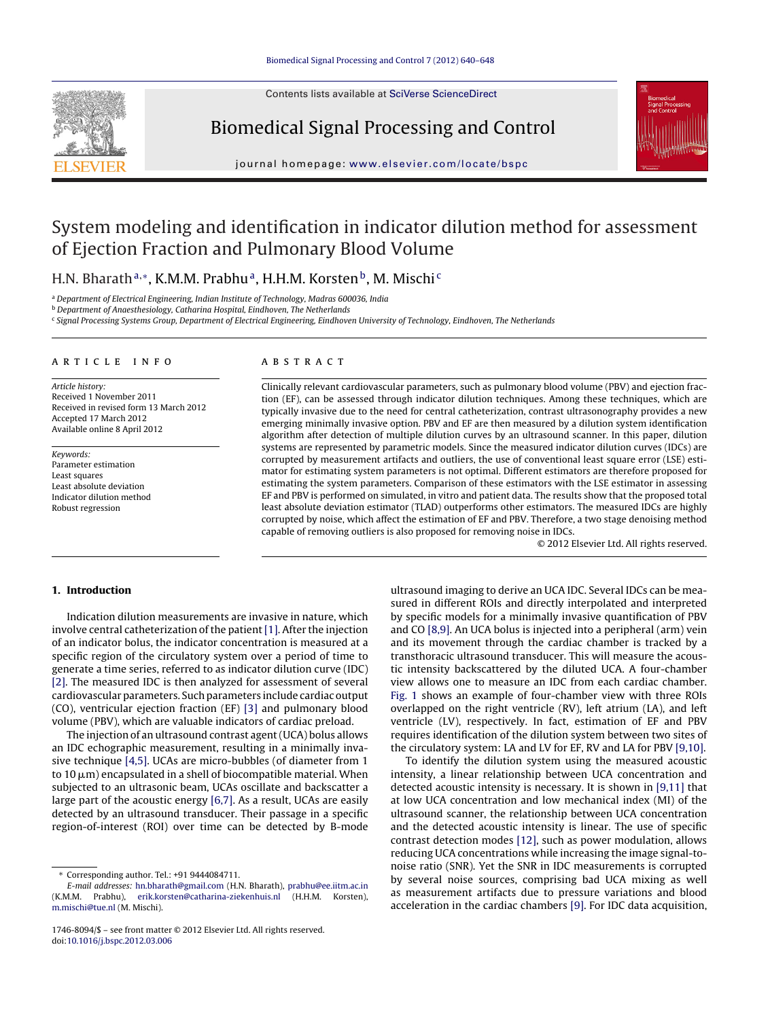Contents lists available at SciVerse [ScienceDirect](http://www.sciencedirect.com/science/journal/17468094)



# Biomedical Signal Processing and Control



iournal homepage: [www.elsevier.com/locate/bspc](http://www.elsevier.com/locate/bspc)

# System modeling and identification in indicator dilution method for assessment of Ejection Fraction and Pulmonary Blood Volume

H.N. Bharath<sup>a,∗</sup>, K.M.M. Prabhu<sup>a</sup>, H.H.M. Korsten<sup>b</sup>, M. Mischi<sup>c</sup>

<sup>a</sup> Department of Electrical Engineering, Indian Institute of Technology, Madras 600036, India

**b** Department of Anaesthesiology, Catharina Hospital, Eindhoven, The Netherlands

<sup>c</sup> Signal Processing Systems Group, Department of Electrical Engineering, Eindhoven University of Technology, Eindhoven, The Netherlands

#### a r t i c l e i n f o

Article history: Received 1 November 2011 Received in revised form 13 March 2012 Accepted 17 March 2012 Available online 8 April 2012

Keywords: Parameter estimation Least squares Least absolute deviation Indicator dilution method Robust regression

## A B S T R A C T

Clinically relevant cardiovascular parameters, such as pulmonary blood volume (PBV) and ejection fraction (EF), can be assessed through indicator dilution techniques. Among these techniques, which are typically invasive due to the need for central catheterization, contrast ultrasonography provides a new emerging minimally invasive option. PBV and EF are then measured by a dilution system identification algorithm after detection of multiple dilution curves by an ultrasound scanner. In this paper, dilution systems are represented by parametric models. Since the measured indicator dilution curves (IDCs) are corrupted by measurement artifacts and outliers, the use of conventional least square error (LSE) estimator for estimating system parameters is not optimal. Different estimators are therefore proposed for estimating the system parameters. Comparison of these estimators with the LSE estimator in assessing EF and PBV is performed on simulated, in vitro and patient data. The results show that the proposed total least absolute deviation estimator (TLAD) outperforms other estimators. The measured IDCs are highly corrupted by noise, which affect the estimation of EF and PBV. Therefore, a two stage denoising method capable of removing outliers is also proposed for removing noise in IDCs.

© 2012 Elsevier Ltd. All rights reserved.

# **1. Introduction**

Indication dilution measurements are invasive in nature, which involve central catheterization of the patient[\[1\].](#page-9-0) After the injection of an indicator bolus, the indicator concentration is measured at a specific region of the circulatory system over a period of time to generate a time series, referred to as indicator dilution curve (IDC) [\[2\].](#page-9-0) The measured IDC is then analyzed for assessment of several cardiovascular parameters. Such parameters include cardiac output (CO), ventricular ejection fraction (EF) [\[3\]](#page-9-0) and pulmonary blood volume (PBV), which are valuable indicators of cardiac preload.

The injection of an ultrasound contrast agent(UCA) bolus allows an IDC echographic measurement, resulting in a minimally invasive technique [\[4,5\].](#page-9-0) UCAs are micro-bubbles (of diameter from 1 to 10  $\mu$ m) encapsulated in a shell of biocompatible material. When subjected to an ultrasonic beam, UCAs oscillate and backscatter a large part of the acoustic energy [\[6,7\].](#page-9-0) As a result, UCAs are easily detected by an ultrasound transducer. Their passage in a specific region-of-interest (ROI) over time can be detected by B-mode ultrasound imaging to derive an UCA IDC. Several IDCs can be measured in different ROIs and directly interpolated and interpreted by specific models for a minimally invasive quantification of PBV and CO [\[8,9\].](#page-9-0) An UCA bolus is injected into a peripheral (arm) vein and its movement through the cardiac chamber is tracked by a transthoracic ultrasound transducer. This will measure the acoustic intensity backscattered by the diluted UCA. A four-chamber view allows one to measure an IDC from each cardiac chamber. [Fig.](#page-2-0) 1 shows an example of four-chamber view with three ROIs overlapped on the right ventricle (RV), left atrium (LA), and left ventricle (LV), respectively. In fact, estimation of EF and PBV requires identification of the dilution system between two sites of the circulatory system: LA and LV for EF, RV and LA for PBV [\[9,10\].](#page-9-0)

To identify the dilution system using the measured acoustic intensity, a linear relationship between UCA concentration and detected acoustic intensity is necessary. It is shown in [\[9,11\]](#page-9-0) that at low UCA concentration and low mechanical index (MI) of the ultrasound scanner, the relationship between UCA concentration and the detected acoustic intensity is linear. The use of specific contrast detection modes [\[12\],](#page-9-0) such as power modulation, allows reducing UCA concentrations while increasing the image signal-tonoise ratio (SNR). Yet the SNR in IDC measurements is corrupted by several noise sources, comprising bad UCA mixing as well as measurement artifacts due to pressure variations and blood acceleration in the cardiac chambers [\[9\].](#page-9-0) For IDC data acquisition,

<sup>∗</sup> Corresponding author. Tel.: +91 9444084711.

E-mail addresses: [hn.bharath@gmail.com](mailto:hn.bharath@gmail.com) (H.N. Bharath), [prabhu@ee.iitm.ac.in](mailto:prabhu@ee.iitm.ac.in) (K.M.M. Prabhu), [erik.korsten@catharina-ziekenhuis.nl](mailto:erik.korsten@catharina-ziekenhuis.nl) (H.H.M. Korsten), [m.mischi@tue.nl](mailto:m.mischi@tue.nl) (M. Mischi).

<sup>1746-8094/\$</sup> – see front matter © 2012 Elsevier Ltd. All rights reserved. doi:[10.1016/j.bspc.2012.03.006](dx.doi.org/10.1016/j.bspc.2012.03.006)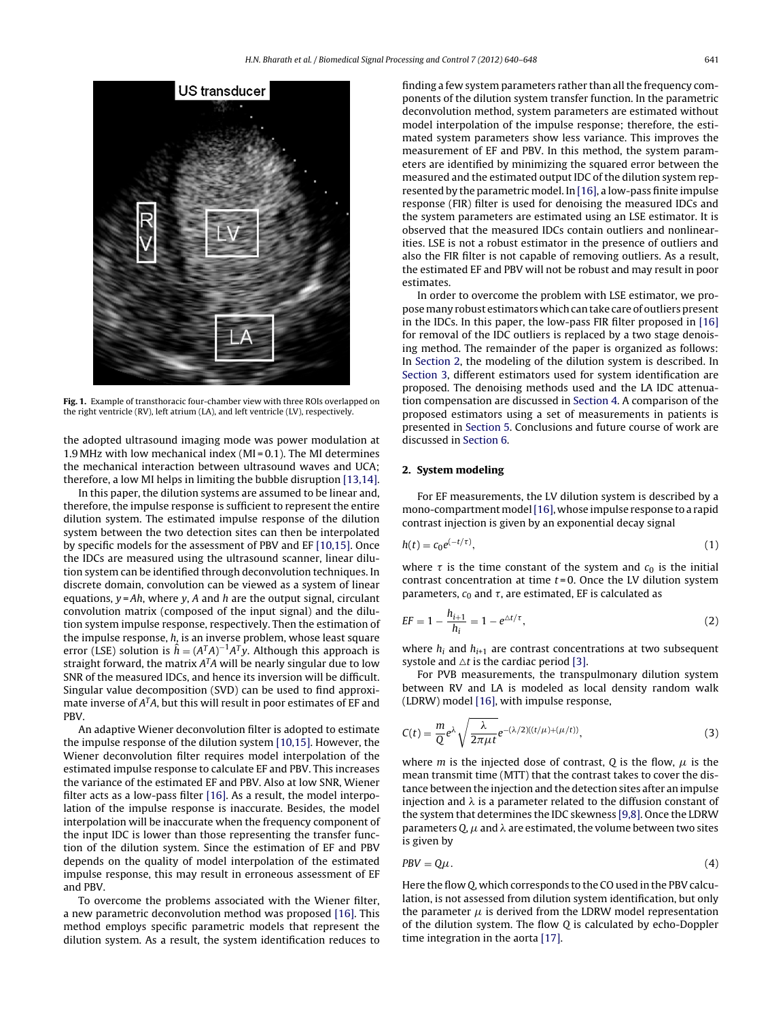<span id="page-2-0"></span>

**Fig. 1.** Example of transthoracic four-chamber view with three ROIs overlapped on the right ventricle (RV), left atrium (LA), and left ventricle (LV), respectively.

the adopted ultrasound imaging mode was power modulation at 1.9 MHz with low mechanical index (MI = 0.1). The MI determines the mechanical interaction between ultrasound waves and UCA; therefore, a low MI helps in limiting the bubble disruption [\[13,14\].](#page-9-0)

In this paper, the dilution systems are assumed to be linear and, therefore, the impulse response is sufficient to represent the entire dilution system. The estimated impulse response of the dilution system between the two detection sites can then be interpolated by specific models for the assessment of PBV and EF [\[10,15\].](#page-9-0) Once the IDCs are measured using the ultrasound scanner, linear dilution system can be identified through deconvolution techniques. In discrete domain, convolution can be viewed as a system of linear equations,  $y = Ah$ , where y, A and h are the output signal, circulant convolution matrix (composed of the input signal) and the dilution system impulse response, respectively. Then the estimation of the impulse response, h, is an inverse problem, whose least square error (LSE) solution is  $\hat{h} = (A^T A)^{-1} A^T y$ . Although this approach is<br>straight forward, the matrix  $A^T A$  will be nearly singular due to low straight forward, the matrix  $A<sup>T</sup>A$  will be nearly singular due to low SNR of the measured IDCs, and hence its inversion will be difficult. Singular value decomposition (SVD) can be used to find approximate inverse of  $A<sup>T</sup>A$ , but this will result in poor estimates of EF and PBV.

An adaptive Wiener deconvolution filter is adopted to estimate the impulse response of the dilution system [\[10,15\].](#page-9-0) However, the Wiener deconvolution filter requires model interpolation of the estimated impulse response to calculate EF and PBV. This increases the variance of the estimated EF and PBV. Also at low SNR, Wiener filter acts as a low-pass filter [\[16\].](#page-9-0) As a result, the model interpolation of the impulse response is inaccurate. Besides, the model interpolation will be inaccurate when the frequency component of the input IDC is lower than those representing the transfer function of the dilution system. Since the estimation of EF and PBV depends on the quality of model interpolation of the estimated impulse response, this may result in erroneous assessment of EF and PBV.

To overcome the problems associated with the Wiener filter, a new parametric deconvolution method was proposed [\[16\].](#page-9-0) This method employs specific parametric models that represent the dilution system. As a result, the system identification reduces to finding a few system parameters rather than all the frequency components of the dilution system transfer function. In the parametric deconvolution method, system parameters are estimated without model interpolation of the impulse response; therefore, the estimated system parameters show less variance. This improves the measurement of EF and PBV. In this method, the system parameters are identified by minimizing the squared error between the measured and the estimated output IDC of the dilution system represented by the parametric model. In [\[16\],](#page-9-0) a low-pass finite impulse response (FIR) filter is used for denoising the measured IDCs and the system parameters are estimated using an LSE estimator. It is observed that the measured IDCs contain outliers and nonlinearities. LSE is not a robust estimator in the presence of outliers and also the FIR filter is not capable of removing outliers. As a result, the estimated EF and PBV will not be robust and may result in poor estimates.

In order to overcome the problem with LSE estimator, we propose many robust estimators which can take care of outliers present in the IDCs. In this paper, the low-pass FIR filter proposed in [\[16\]](#page-9-0) for removal of the IDC outliers is replaced by a two stage denoising method. The remainder of the paper is organized as follows: In Section 2, the modeling of the dilution system is described. In [Section](#page-3-0) [3,](#page-3-0) different estimators used for system identification are proposed. The denoising methods used and the LA IDC attenuation compensation are discussed in [Section](#page-4-0) [4.](#page-4-0) A comparison of the proposed estimators using a set of measurements in patients is presented in [Section](#page-6-0) [5.](#page-6-0) Conclusions and future course of work are discussed in [Section](#page-8-0) [6.](#page-8-0)

## **2. System modeling**

For EF measurements, the LV dilution system is described by a mono-compartment model [\[16\],](#page-9-0) whose impulse response to a rapid contrast injection is given by an exponential decay signal

$$
h(t) = c_0 e^{(-t/\tau)},\tag{1}
$$

where  $\tau$  is the time constant of the system and  $c_0$  is the initial<br>contrast concentration at time  $t=0$ . Once the LV dilution system contrast concentration at time  $t = 0$ . Once the LV dilution system parameters,  $c_0$  and  $\tau$ , are estimated, EF is calculated as

$$
EF = 1 - \frac{h_{i+1}}{h_i} = 1 - e^{\Delta t/\tau},
$$
\n(2)

where  $h_i$  and  $h_{i+1}$  are contrast concentrations at two subsequent systole and  $\Delta t$  is the cardiac period [\[3\].](#page-9-0)

For PVB measurements, the transpulmonary dilution system between RV and LA is modeled as local density random walk (LDRW) model [\[16\],](#page-9-0) with impulse response,

$$
C(t) = \frac{m}{Q}e^{\lambda}\sqrt{\frac{\lambda}{2\pi\mu t}}e^{-(\lambda/2)((t/\mu)+( \mu/t))},
$$
\n(3)

where *m* is the injected dose of contrast, *Q* is the flow,  $\mu$  is the mean transmit time (MTT) that the contrast takes to cover the distance between the injection and the detection sites after an impulse injection and  $\lambda$  is a parameter related to the diffusion constant of the system that determines the IDC skewness [\[9,8\].](#page-9-0) Once the LDRW parameters Q,  $\mu$  and  $\lambda$  are estimated, the volume between two sites is given by

$$
PBV = Q\mu. \tag{4}
$$

Here the flow Q, which corresponds to the CO used in the PBV calculation, is not assessed from dilution system identification, but only the parameter  $\mu$  is derived from the LDRW model representation of the dilution system. The flow Q is calculated by echo-Doppler time integration in the aorta [\[17\].](#page-9-0)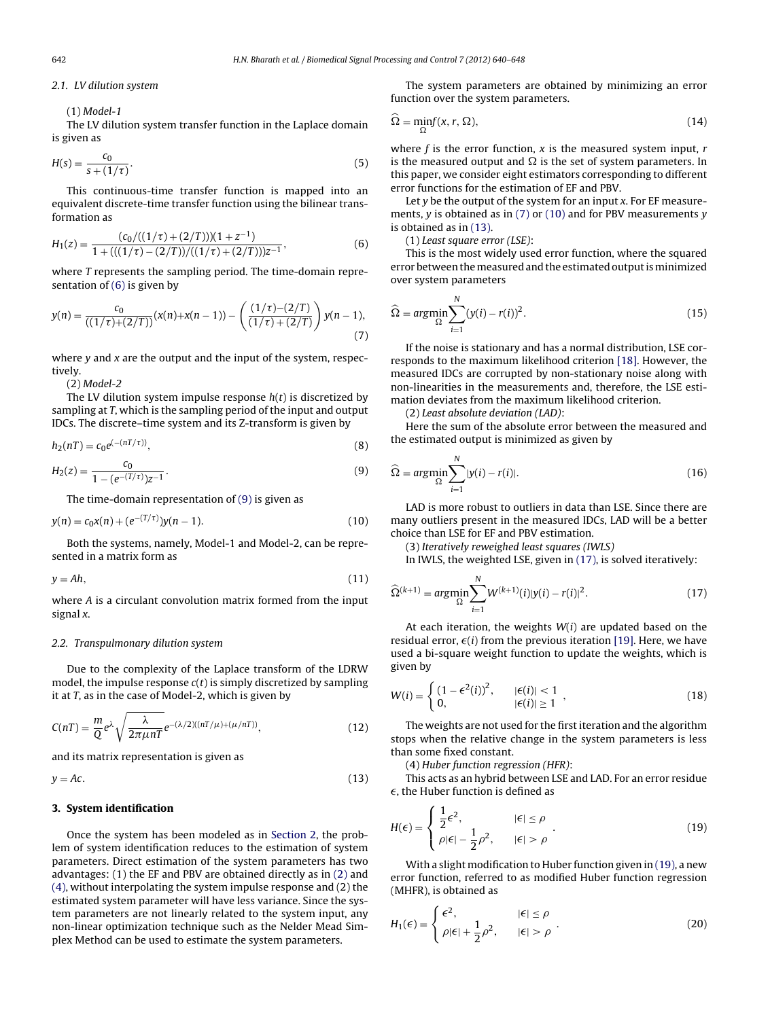<span id="page-3-0"></span>2.1. LV dilution system

(1) Model-1

The LV dilution system transfer function in the Laplace domain is given as

$$
H(s) = \frac{c_0}{s + (1/\tau)}.
$$
\n(5)

This continuous-time transfer function is mapped into an equivalent discrete-time transfer function using the bilinear transformation as

$$
H_1(z) = \frac{(c_0/((1/\tau) + (2/T)))(1 + z^{-1})}{1 + (((1/\tau) - (2/T)) / ((1/\tau) + (2/T)))z^{-1}},
$$
\n(6)

where T represents the sampling period. The time-domain representation of (6) is given by

$$
y(n) = \frac{c_0}{((1/\tau) + (2/T))}(x(n) + x(n-1)) - \left(\frac{(1/\tau) - (2/T)}{(1/\tau) + (2/T)}\right)y(n-1),
$$
\n(7)

where  $y$  and  $x$  are the output and the input of the system, respectively.

(2) Model-2

The LV dilution system impulse response  $h(t)$  is discretized by sampling at T, which is the sampling period of the input and output IDCs. The discrete–time system and its Z-transform is given by

$$
h_2(nT) = c_0 e^{(-(nT/\tau))},
$$
\n(8)

$$
H_2(z) = \frac{c_0}{1 - (e^{-(T/\tau)})z^{-1}}.
$$
\n(9)

The time-domain representation of (9) is given as

$$
y(n) = c_0 x(n) + (e^{-(T/\tau)})y(n-1).
$$
 (10)

Both the systems, namely, Model-1 and Model-2, can be represented in a matrix form as

$$
y = Ah,\tag{11}
$$

where A is a circulant convolution matrix formed from the input signal x.

#### 2.2. Transpulmonary dilution system

Due to the complexity of the Laplace transform of the LDRW model, the impulse response  $c(t)$  is simply discretized by sampling it at T, as in the case of Model-2, which is given by

$$
C(nT) = \frac{m}{Q}e^{\lambda}\sqrt{\frac{\lambda}{2\pi\mu nT}}e^{-(\lambda/2)((nT/\mu)+( \mu/nT))},\tag{12}
$$

and its matrix representation is given as

$$
y = Ac.
$$
 (13)

# **3. System identification**

Once the system has been modeled as in [Section](#page-2-0) [2,](#page-2-0) the problem of system identification reduces to the estimation of system parameters. Direct estimation of the system parameters has two advantages: (1) the EF and PBV are obtained directly as in [\(2\)](#page-2-0) and [\(4\),](#page-2-0) without interpolating the system impulse response and (2) the estimated system parameter will have less variance. Since the system parameters are not linearly related to the system input, any non-linear optimization technique such as the Nelder Mead Simplex Method can be used to estimate the system parameters.

The system parameters are obtained by minimizing an error function over the system parameters.

$$
\widehat{\Omega} = \min_{\Omega} f(x, r, \Omega),\tag{14}
$$

where  $f$  is the error function,  $x$  is the measured system input,  $r$ is the measured output and  $\Omega$  is the set of system parameters. In this paper, we consider eight estimators corresponding to different error functions for the estimation of EF and PBV.

Let  $y$  be the output of the system for an input  $x$ . For EF measurements,  $y$  is obtained as in (7) or (10) and for PBV measurements  $y$ is obtained as in (13).

(1) Least square error (LSE):

This is the most widely used error function, where the squared error between the measured and the estimated output is minimized over system parameters

$$
\widehat{\Omega} = \underset{\Omega}{\operatorname{argmin}} \sum_{i=1}^{N} (y(i) - r(i))^2.
$$
\n(15)

If the noise is stationary and has a normal distribution, LSE corresponds to the maximum likelihood criterion [\[18\].](#page-9-0) However, the measured IDCs are corrupted by non-stationary noise along with non-linearities in the measurements and, therefore, the LSE estimation deviates from the maximum likelihood criterion.

(2) Least absolute deviation (LAD):

Here the sum of the absolute error between the measured and the estimated output is minimized as given by

$$
\widehat{\Omega} = \underset{\Omega}{\arg\min} \sum_{i=1}^{N} |y(i) - r(i)|. \tag{16}
$$

LAD is more robust to outliers in data than LSE. Since there are many outliers present in the measured IDCs, LAD will be a better choice than LSE for EF and PBV estimation.

(3) Iteratively reweighed least squares (IWLS)

In IWLS, the weighted LSE, given in (17), is solved iteratively:

$$
\widehat{\Omega}^{(k+1)} = \underset{\Omega}{\arg\min} \sum_{i=1}^{N} W^{(k+1)}(i) |y(i) - r(i)|^2. \tag{17}
$$

At each iteration, the weights  $W(i)$  are updated based on the residual error,  $\epsilon(i)$  from the previous iteration [\[19\].](#page-9-0) Here, we have used a bi-square weight function to update the weights, which is given by

$$
W(i) = \begin{cases} (1 - \epsilon^2(i))^2, & |\epsilon(i)| < 1 \\ 0, & |\epsilon(i)| \ge 1 \end{cases},
$$
 (18)

The weights are not used for the first iteration and the algorithm stops when the relative change in the system parameters is less than some fixed constant.

(4) Huber function regression (HFR):

This acts as an hybrid between LSE and LAD. For an error residue  $\epsilon$ , the Huber function is defined as

$$
H(\epsilon) = \begin{cases} \frac{1}{2}\epsilon^2, & |\epsilon| \le \rho \\ \rho|\epsilon| - \frac{1}{2}\rho^2, & |\epsilon| > \rho \end{cases}
$$
 (19)

With a slight modification to Huber function given in (19), a new error function, referred to as modified Huber function regression (MHFR), is obtained as

$$
H_1(\epsilon) = \begin{cases} \epsilon^2, & |\epsilon| \le \rho \\ \rho |\epsilon| + \frac{1}{2} \rho^2, & |\epsilon| > \rho \end{cases} .
$$
 (20)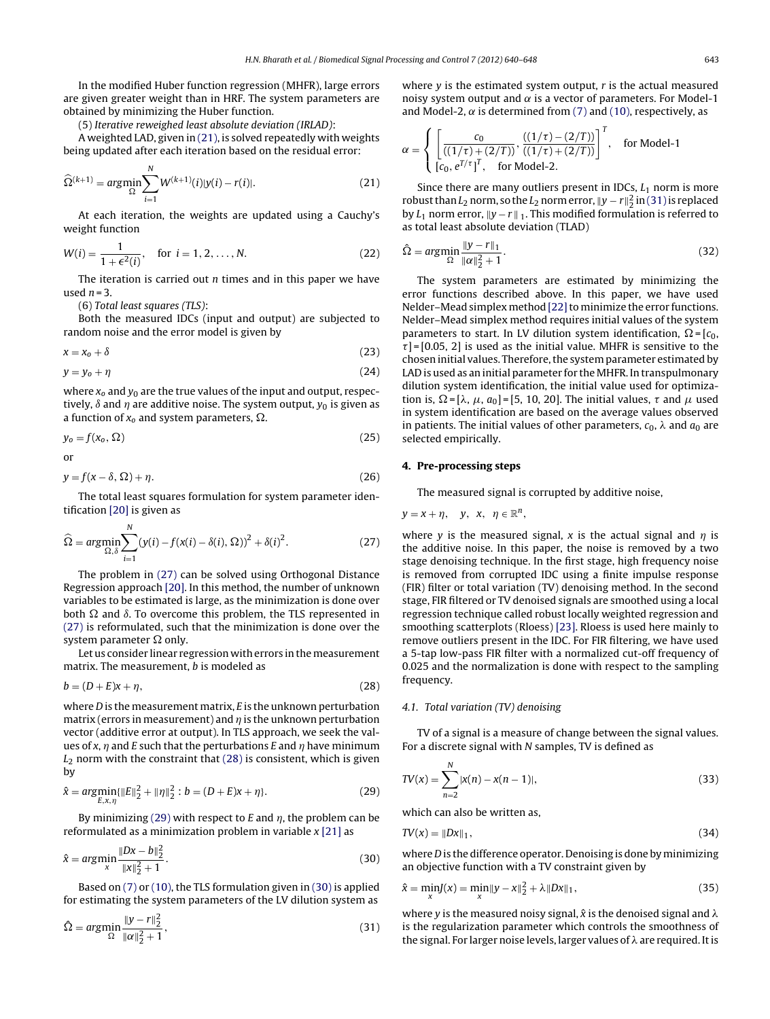<span id="page-4-0"></span>In the modified Huber function regression (MHFR), large errors are given greater weight than in HRF. The system parameters are obtained by minimizing the Huber function.

(5) Iterative reweighed least absolute deviation (IRLAD):

A weighted LAD, given in (21), is solved repeatedly with weights being updated after each iteration based on the residual error:

$$
\widehat{\Omega}^{(k+1)} = \arg\min_{\Omega} \sum_{i=1}^{N} W^{(k+1)}(i) |y(i) - r(i)|.
$$
 (21)

At each iteration, the weights are updated using a Cauchy's weight function

$$
W(i) = \frac{1}{1 + \epsilon^2(i)}, \quad \text{for } i = 1, 2, ..., N.
$$
 (22)  
The iteration is carried out *n* times and in this paper we have

used  $n = 3$ .

(6) Total least squares (TLS):

 $\ddotsc$ 

Both the measured IDCs (input and output) are subjected to random noise and the error model is given by

$$
x = x_0 + \delta \tag{23}
$$

$$
y = y_o + \eta \tag{24}
$$

where  $x_0$  and  $y_0$  are the true values of the input and output, respectively,  $\delta$  and  $\eta$  are additive noise. The system output,  $y_0$  is given as a function of  $x_0$  and system parameters,  $\Omega$ .

$$
y_o = f(x_o, \Omega) \tag{25}
$$

or

$$
y = f(x - \delta, \Omega) + \eta. \tag{26}
$$

The total least squares formulation for system parameter identification [\[20\]](#page-9-0) is given as

$$
\widehat{\Omega} = \underset{\Omega, \delta}{\arg\min} \sum_{i=1}^{N} (y(i) - f(x(i) - \delta(i), \Omega))^2 + \delta(i)^2.
$$
 (27)

The problem in (27) can be solved using Orthogonal Distance Regression approach [\[20\].](#page-9-0) In this method, the number of unknown variables to be estimated is large, as the minimization is done over both  $\Omega$  and  $\delta$ . To overcome this problem, the TLS represented in (27) is reformulated, such that the minimization is done over the system parameter  $\Omega$  only.

Let us consider linear regression with errors in the measurement matrix. The measurement, b is modeled as

$$
b = (D + E)x + \eta,\tag{28}
$$

where  $D$  is the measurement matrix,  $E$  is the unknown perturbation matrix (errors in measurement) and  $\eta$  is the unknown perturbation vector (additive error at output). In TLS approach, we seek the values of x,  $\eta$  and E such that the perturbations E and  $\eta$  have minimum  $L_2$  norm with the constraint that (28) is consistent, which is given by

$$
\hat{x} = \underset{E,x,\eta}{\arg\min} \{ \|E\|_2^2 + \|\eta\|_2^2 : b = (D+E)x + \eta \}. \tag{29}
$$

By minimizing (29) with respect to E and  $\eta$ , the problem can be reformulated as a minimization problem in variable  $x$  [\[21\]](#page-9-0) as

$$
\hat{x} = \underset{x}{\arg\min} \frac{\|Dx - b\|_2^2}{\|x\|_2^2 + 1}.
$$
\n(30)

Based on [\(7\)](#page-3-0) or [\(10\),](#page-3-0) the TLS formulation given in (30) is applied for estimating the system parameters of the LV dilution system as

$$
\hat{\Omega} = \underset{\Omega}{\arg\min} \frac{\|y - r\|_2^2}{\|a\|_2^2 + 1},\tag{31}
$$

where  $y$  is the estimated system output,  $r$  is the actual measured noisy system output and  $\alpha$  is a vector of parameters. For Model-1 and Model-2,  $\alpha$  is determined from [\(7\)](#page-3-0) and [\(10\),](#page-3-0) respectively, as

$$
\alpha = \begin{cases} \left[ \frac{c_0}{\left( (1/\tau) + (2/T) \right)}, \frac{\left( (1/\tau) - (2/T) \right)}{\left( (1/\tau) + (2/T) \right)} \right]^T, & \text{for Model-1} \\ \left[ c_0, e^{T/\tau} \right]^T, & \text{for Model-2.} \end{cases}
$$

Since there are many outliers present in IDCs,  $L_1$  norm is more robust than  $L_2$  norm, so the  $L_2$  norm error,  $||y - r||_2^2$  in (31) is replaced<br>by L. porm error,  $||y - r||_2$ . This modified formulation is referred to by  $L_1$  norm error,  $||y - r||_1$ . This modified formulation is referred to as total least absolute deviation (TLAD)

$$
\hat{\Omega} = \underset{\Omega}{\arg\min} \frac{\|y - r\|_1}{\|\alpha\|_2^2 + 1}.
$$
\n(32)

The system parameters are estimated by minimizing the error functions described above. In this paper, we have used Nelder-Mead simplex method [22] to minimize the error functions. Nelder–Mead simplex method requires initial values of the system parameters to start. In LV dilution system identification,  $\Omega = [c_0,$ -chosen initial values. Therefore,the system parameter estimated by  $\tau$ ] = [0.05, 2] is used as the initial value. MHFR is sensitive to the LAD is used as an initial parameter for the MHFR. In transpulmonary dilution system identification, the initial value used for optimization is,  $\Omega = [\lambda, \mu, a_0] = [5, 10, 20]$ . The initial values,  $\tau$  and  $\mu$  used<br>in system identification are based on the average values observed in system identification are based on the average values observed in patients. The initial values of other parameters,  $c_0$ ,  $\lambda$  and  $a_0$  are selected empirically.

## **4. Pre-processing steps**

The measured signal is corrupted by additive noise,

$$
y=x+\eta, \quad y, \quad x, \quad \eta \in \mathbb{R}^n,
$$

where y is the measured signal, x is the actual signal and  $\eta$  is the additive noise. In this paper, the noise is removed by a two stage denoising technique. In the first stage, high frequency noise is removed from corrupted IDC using a finite impulse response (FIR) filter or total variation (TV) denoising method. In the second stage, FIR filtered or TV denoised signals are smoothed using a local regression technique called robust locally weighted regression and smoothing scatterplots (Rloess) [\[23\].](#page-9-0) Rloess is used here mainly to remove outliers present in the IDC. For FIR filtering, we have used a 5-tap low-pass FIR filter with a normalized cut-off frequency of 0.025 and the normalization is done with respect to the sampling frequency.

#### 4.1. Total variation (TV) denoising

TV of a signal is a measure of change between the signal values. For a discrete signal with N samples, TV is defined as

$$
TV(x) = \sum_{n=2}^{N} |x(n) - x(n-1)|,
$$
\n(33)

which can also be written as,

$$
TV(x) = \|Dx\|_1,\tag{34}
$$

where D is the difference operator. Denoising is done by minimizing an objective function with a TV constraint given by

$$
\hat{x} = \min_{x} J(x) = \min_{x} ||y - x||_2^2 + \lambda ||Dx||_1,
$$
\n(35)

where y is the measured noisy signal,  $\hat{x}$  is the denoised signal and  $\lambda$ is the regularization parameter which controls the smoothness of the signal. For larger noise levels, larger values of  $\lambda$  are required. It is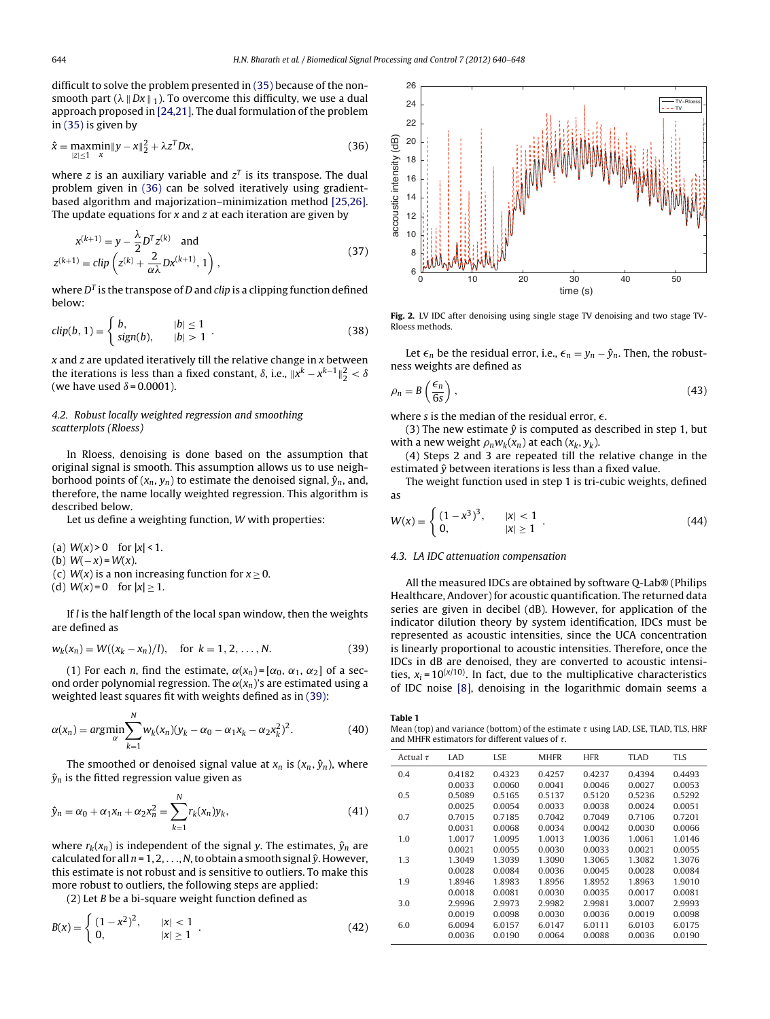<span id="page-5-0"></span>difficult to solve the problem presented in [\(35\)](#page-4-0) because of the nonsmooth part  $(\lambda \parallel Dx \parallel_1)$ . To overcome this difficulty, we use a dual approach proposed in [\[24,21\].](#page-9-0) The dual formulation of the problem in [\(35\)](#page-4-0) is given by

$$
\hat{x} = \max_{|z| \le 1} \min_{x} \|y - x\|_2^2 + \lambda z^T D x,\tag{36}
$$

where z is an auxiliary variable and  $z<sup>T</sup>$  is its transpose. The dual problem given in (36) can be solved iteratively using gradientbased algorithm and majorization–minimization method [\[25,26\].](#page-9-0) The update equations for  $x$  and  $z$  at each iteration are given by

$$
x^{(k+1)} = y - \frac{\lambda}{2} D^{T} z^{(k)} \text{ and}
$$
  
\n
$$
z^{(k+1)} = \text{clip} \left( z^{(k)} + \frac{2}{\alpha \lambda} D x^{(k+1)}, 1 \right),
$$
\n(37)

where  $D<sup>T</sup>$  is the transpose of D and clip is a clipping function defined below:

$$
clip(b, 1) = \begin{cases} b, & |b| \le 1 \\ sign(b), & |b| > 1 \end{cases} \tag{38}
$$

 $x$  and  $z$  are updated iteratively till the relative change in  $x$  between the iterations is less than a fixed constant,  $\delta$ , i.e.,  $||x^k - x^{k-1}||_2^2 < \delta$ <br>(we have used  $\delta$  − 0.0001) (we have used  $\delta$  = 0.0001).

# 4.2. Robust locally weighted regression and smoothing scatterplots (Rloess)

In Rloess, denoising is done based on the assumption that original signal is smooth. This assumption allows us to use neighborhood points of  $(x_n, y_n)$  to estimate the denoised signal,  $\hat{y}_n$ , and, therefore, the name locally weighted regression. This algorithm is described below.

Let us define a weighting function, W with properties:

(a)  $W(x) > 0$  for  $|x| < 1$ .

(b)  $W(-x) = W(x)$ .

(c)  $W(x)$  is a non increasing function for  $x \ge 0$ .

(d)  $W(x) = 0$  for  $|x| \ge 1$ .

If  $l$  is the half length of the local span window, then the weights are defined as

$$
w_k(x_n) = W((x_k - x_n)/l), \text{ for } k = 1, 2, ..., N.
$$
 (39)

(1) For each *n*, find the estimate,  $\alpha(x_n) = [\alpha_0, \alpha_1, \alpha_2]$  of a second order polynomial regression. The  $\alpha(x_n)$ 's are estimated using a weighted least squares fit with weights defined as in (39):

$$
\alpha(x_n) = \underset{\alpha}{\operatorname{argmin}} \sum_{k=1}^{N} w_k(x_n) (y_k - \alpha_0 - \alpha_1 x_k - \alpha_2 x_k^2)^2.
$$
 (40)

The smoothed or denoised signal value at  $x_n$  is  $(x_n, \hat{y}_n)$ , where  $\hat{y}_n$  is the fitted regression value given as

$$
\hat{y}_n = \alpha_0 + \alpha_1 x_n + \alpha_2 x_n^2 = \sum_{k=1}^N r_k(x_n) y_k,
$$
\n(41)

where  $r_k(x_n)$  is independent of the signal y. The estimates,  $\hat{y}_n$  are calculated for all  $n = 1, 2, \ldots, N$ , to obtain a smooth signal  $\hat{v}$ . However, this estimate is not robust and is sensitive to outliers. To make this more robust to outliers, the following steps are applied:

(2) Let  $B$  be a bi-square weight function defined as

$$
B(x) = \begin{cases} (1 - x^2)^2, & |x| < 1 \\ 0, & |x| \ge 1 \end{cases} .
$$
 (42)



**Fig. 2.** LV IDC after denoising using single stage TV denoising and two stage TV-Rloess methods.

Let  $\epsilon_n$  be the residual error, i.e.,  $\epsilon_n = y_n - \hat{y}_n$ . Then, the robustness weights are defined as

$$
\rho_n = B\left(\frac{\epsilon_n}{6s}\right),\tag{43}
$$

where s is the median of the residual error,  $\epsilon$ .<br>(3) The new estimate  $\hat{v}$  is computed as de

(3) The new estimate  $\hat{y}$  is computed as described in step 1, but with a new weight  $\rho_n w_k(x_n)$  at each  $(x_k, y_k)$ .

(4) Steps 2 and 3 are repeated till the relative change in the estimated  $\hat{y}$  between iterations is less than a fixed value.

The weight function used in step 1 is tri-cubic weights, defined as

$$
W(x) = \begin{cases} (1 - x^3)^3, & |x| < 1 \\ 0, & |x| \ge 1 \end{cases}
$$
 (44)

### 4.3. LA IDC attenuation compensation

All the measured IDCs are obtained by software Q-Lab® (Philips Healthcare, Andover) for acoustic quantification. The returned data series are given in decibel (dB). However, for application of the indicator dilution theory by system identification, IDCs must be represented as acoustic intensities, since the UCA concentration is linearly proportional to acoustic intensities. Therefore, once the IDCs in dB are denoised, they are converted to acoustic intensities,  $x_i = 10^{(\chi/10)}$ . In fact, due to the multiplicative characteristics of IDC noise [\[8\],](#page-9-0) denoising in the logarithmic domain seems a

**Table 1**

Mean (top) and variance (bottom) of the estimate  $\tau$  using LAD, LSE, TLAD, TLS, HRF<br>and MHEP estimators for different values of  $\tau$ and MHFR estimators for different values of  $\tau$ .

| Actual $\tau$ | <b>LAD</b> | <b>LSE</b> | <b>MHFR</b> | <b>HFR</b> | <b>TLAD</b> | <b>TLS</b> |
|---------------|------------|------------|-------------|------------|-------------|------------|
| 0.4           | 0.4182     | 0.4323     | 0.4257      | 0.4237     | 0.4394      | 0.4493     |
|               | 0.0033     | 0.0060     | 0.0041      | 0.0046     | 0.0027      | 0.0053     |
| 0.5           | 0.5089     | 0.5165     | 0.5137      | 0.5120     | 0.5236      | 0.5292     |
|               | 0.0025     | 0.0054     | 0.0033      | 0.0038     | 0.0024      | 0.0051     |
| 0.7           | 0.7015     | 0.7185     | 0.7042      | 0.7049     | 0.7106      | 0.7201     |
|               | 0.0031     | 0.0068     | 0.0034      | 0.0042     | 0.0030      | 0.0066     |
| 1.0           | 1.0017     | 1.0095     | 1.0013      | 1.0036     | 1.0061      | 1.0146     |
|               | 0.0021     | 0.0055     | 0.0030      | 0.0033     | 0.0021      | 0.0055     |
| 1.3           | 1.3049     | 1.3039     | 1.3090      | 1.3065     | 1.3082      | 1.3076     |
|               | 0.0028     | 0.0084     | 0.0036      | 0.0045     | 0.0028      | 0.0084     |
| 1.9           | 1.8946     | 1.8983     | 1.8956      | 1.8952     | 1.8963      | 1.9010     |
|               | 0.0018     | 0.0081     | 0.0030      | 0.0035     | 0.0017      | 0.0081     |
| 3.0           | 2.9996     | 2.9973     | 2.9982      | 2.9981     | 3.0007      | 2.9993     |
|               | 0.0019     | 0.0098     | 0.0030      | 0.0036     | 0.0019      | 0.0098     |
| 6.0           | 6.0094     | 6.0157     | 6.0147      | 6.0111     | 6.0103      | 6.0175     |
|               | 0.0036     | 0.0190     | 0.0064      | 0.0088     | 0.0036      | 0.0190     |
|               |            |            |             |            |             |            |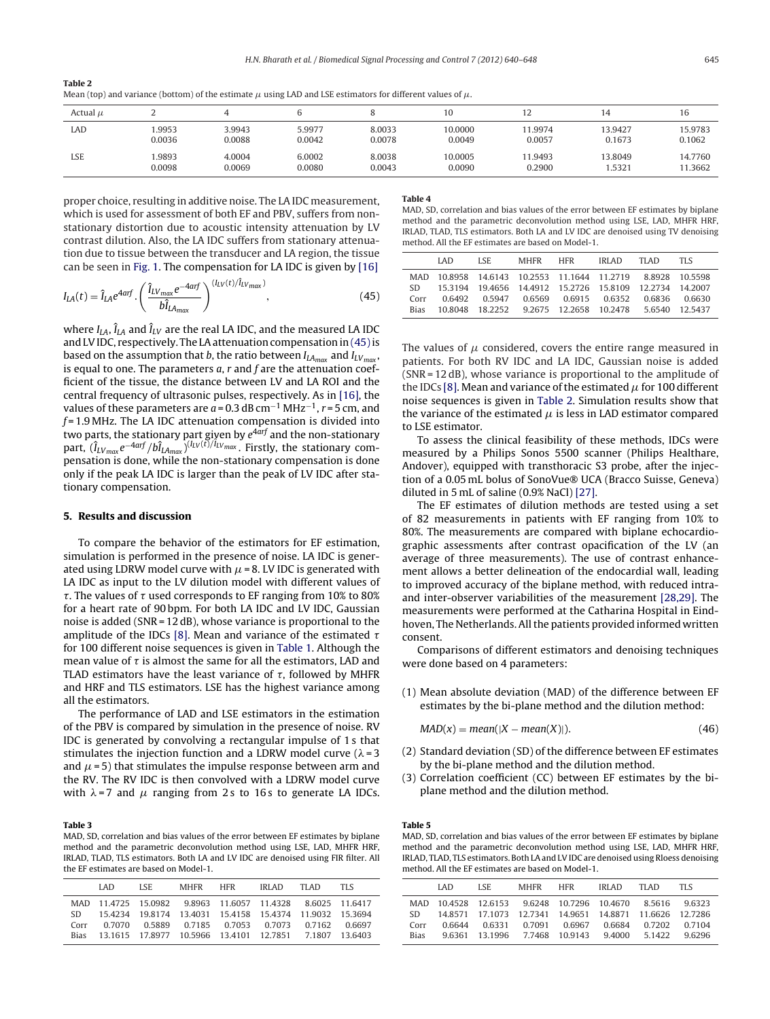<span id="page-6-0"></span>**Table 2**

|  |  |  |  |  |  | Mean (top) and variance (bottom) of the estimate $\mu$ using LAD and LSE estimators for different values of $\mu$ . |  |  |  |
|--|--|--|--|--|--|---------------------------------------------------------------------------------------------------------------------|--|--|--|
|  |  |  |  |  |  |                                                                                                                     |  |  |  |

| Actual $\mu$ |        |        |        |        | 10      | $\overline{2}$ | 14      | 1b.     |
|--------------|--------|--------|--------|--------|---------|----------------|---------|---------|
| LAD          | 1.9953 | 3.9943 | 5.9977 | 8.0033 | 10.0000 | 11.9974        | 13.9427 | 15.9783 |
|              | 0.0036 | 0.0088 | 0.0042 | 0.0078 | 0.0049  | 0.0057         | 0.1673  | 0.1062  |
| <b>LSE</b>   | .9893  | 4.0004 | 6.0002 | 8.0038 | 10.0005 | 11.9493        | 13.8049 | 14.7760 |
|              | 0.0098 | 0.0069 | 0.0080 | 0.0043 | 0.0090  | 0.2900         | .5321   | 11.3662 |

proper choice, resulting in additive noise. The LA IDC measurement, which is used for assessment of both EF and PBV, suffers from nonstationary distortion due to acoustic intensity attenuation by LV contrast dilution. Also, the LA IDC suffers from stationary attenuation due to tissue between the transducer and LA region, the tissue can be seen in [Fig.](#page-2-0) 1. The compensation for LA IDC is given by [\[16\]](#page-9-0)

$$
I_{LA}(t) = \hat{I}_{LA}e^{4arf} \cdot \left(\frac{\hat{I}_{LVmax}e^{-4arf}}{b\hat{I}_{LAmax}}\right)^{(I_{LV}(t)/\hat{I}_{LVmax})},
$$
\n(45)

where  $I_{IA}$ ,  $\hat{I}_{IA}$  and  $\hat{I}_{IV}$  are the real LA IDC, and the measured LA IDC and LVIDC, respectively. The LA attenuation compensation in (45) is based on the assumption that b, the ratio between  $I_{LA_{max}}$  and  $I_{LV_{max}}$ , is equal to one. The parameters  $a$ ,  $r$  and  $f$  are the attenuation coefficient of the tissue, the distance between LV and LA ROI and the central frequency of ultrasonic pulses, respectively. As in [\[16\],](#page-9-0) the values of these parameters are  $a = 0.3$  dB cm<sup>-1</sup> MHz<sup>-1</sup>, r = 5 cm, and  $f = 1.9$  MHz. The LA IDC attenuation compensation is divided into two parts, the stationary part given by  $e^{4 a r f}$  and the non-stationary part,  $(\hat{I}_{LVmax}e^{-4arf}/b\hat{I}_{LAmax})^{(I_{LV}(\vec{r})/\hat{I}_{LVmax})}$ . Firstly, the stationary compensation is done, while the non-stationary compensation is done only if the peak LA IDC is larger than the peak of LV IDC after stationary compensation.

#### **5. Results and discussion**

To compare the behavior of the estimators for EF estimation, simulation is performed in the presence of noise. LA IDC is generated using LDRW model curve with  $\mu$  = 8. LV IDC is generated with LA IDC as input to the LV dilution model with different values of for a heart rate of 90 bpm. For both LA IDC and LV IDC, Gaussian . The values of  $\tau$  used corresponds to EF ranging from 10% to 80%<br>and a beart rate of 90 hpm. For both LA IDC and LV IDC. Caussian noise is added (SNR = 12 dB), whose variance is proportional to the amplitude of the IDCs [\[8\].](#page-9-0) Mean and variance of the estimated  $\tau$ <br>for 100 different poise sequences is given in Table 1, Although the for 100 different noise sequences is given in [Table](#page-5-0) 1. Although the mean value of  $\tau$  is almost the same for all the estimators, LAD and<br>TLAD estimators have the least variance of  $\tau$  followed by MHFR TLAD estimators have the least variance of  $\tau$ , followed by MHFR<br>and HPE and TLS estimators. LSE has the bighest variance among and HRF and TLS estimators. LSE has the highest variance among all the estimators.

The performance of LAD and LSE estimators in the estimation of the PBV is compared by simulation in the presence of noise. RV IDC is generated by convolving a rectangular impulse of 1 s that stimulates the injection function and a LDRW model curve  $(\lambda = 3$ and  $\mu$  = 5) that stimulates the impulse response between arm and the RV. The RV IDC is then convolved with a LDRW model curve with  $\lambda$  = 7 and  $\mu$  ranging from 2 s to 16 s to generate LA IDCs.

#### **Table 3**

MAD, SD, correlation and bias values of the error between EF estimates by biplane method and the parametric deconvolution method using LSE, LAD, MHFR HRF, IRLAD, TLAD, TLS estimators. Both LA and LV IDC are denoised using FIR filter. All the EF estimates are based on Model-1.

| I AD. | LSE – |  |          | <b>TIS</b>                                                                                                                                                                                                                                                     |
|-------|-------|--|----------|----------------------------------------------------------------------------------------------------------------------------------------------------------------------------------------------------------------------------------------------------------------|
|       |       |  |          |                                                                                                                                                                                                                                                                |
|       |       |  |          |                                                                                                                                                                                                                                                                |
|       |       |  |          |                                                                                                                                                                                                                                                                |
|       |       |  |          |                                                                                                                                                                                                                                                                |
|       |       |  | MHFR HFR | IRIAD TIAD<br>MAD 11.4725 15.0982 9.8963 11.6057 11.4328 8.6025 11.6417<br>SD 15.4234 19.8174 13.4031 15.4158 15.4374 11.9032 15.3694<br>0.7070  0.5889  0.7185  0.7053  0.7073  0.7162  0.6697<br>Bias 13.1615 17.8977 10.5966 13.4101 12.7851 7.1807 13.6403 |

#### **Table 4**

MAD, SD, correlation and bias values of the error between EF estimates by biplane method and the parametric deconvolution method using LSE, LAD, MHFR HRF, IRLAD, TLAD, TLS estimators. Both LA and LV IDC are denoised using TV denoising method. All the EF estimates are based on Model-1.

|             | LAD. | LSE – | MHFR HFR IRLAD | TI AD                                                      | TI S |
|-------------|------|-------|----------------|------------------------------------------------------------|------|
|             |      |       |                | MAD 10.8958 14.6143 10.2553 11.1644 11.2719 8.8928 10.5598 |      |
|             |      |       |                | SD 15.3194 19.4656 14.4912 15.2726 15.8109 12.2734 14.2007 |      |
| Corr        |      |       |                | 0.6492  0.5947  0.6569  0.6915  0.6352  0.6836  0.6630     |      |
| <b>Bias</b> |      |       |                | 10.8048 18.2252 9.2675 12.2658 10.2478 5.6540 12.5437      |      |

The values of  $\mu$  considered, covers the entire range measured in patients. For both RV IDC and LA IDC, Gaussian noise is added (SNR = 12 dB), whose variance is proportional to the amplitude of the IDCs [\[8\].](#page-9-0) Mean and variance of the estimated  $\mu$  for 100 different noise sequences is given in Table 2. Simulation results show that the variance of the estimated  $\mu$  is less in LAD estimator compared to LSE estimator.

To assess the clinical feasibility of these methods, IDCs were measured by a Philips Sonos 5500 scanner (Philips Healthare, Andover), equipped with transthoracic S3 probe, after the injection of a 0.05 mL bolus of SonoVue® UCA (Bracco Suisse, Geneva) diluted in 5 mL of saline (0.9% NaCl) [\[27\].](#page-9-0)

The EF estimates of dilution methods are tested using a set of 82 measurements in patients with EF ranging from 10% to 80%. The measurements are compared with biplane echocardiographic assessments after contrast opacification of the LV (an average of three measurements). The use of contrast enhancement allows a better delineation of the endocardial wall, leading to improved accuracy of the biplane method, with reduced intraand inter-observer variabilities of the measurement [\[28,29\].](#page-9-0) The measurements were performed at the Catharina Hospital in Eindhoven, The Netherlands. All the patients provided informed written consent.

Comparisons of different estimators and denoising techniques were done based on 4 parameters:

(1) Mean absolute deviation (MAD) of the difference between EF estimates by the bi-plane method and the dilution method:

$$
MAD(x) = mean(|X - mean(X)|).
$$
 (46)

- (2) Standard deviation (SD) of the difference between EF estimates by the bi-plane method and the dilution method.
- (3) Correlation coefficient (CC) between EF estimates by the biplane method and the dilution method.

#### **Table 5**

MAD, SD, correlation and bias values of the error between EF estimates by biplane method and the parametric deconvolution method using LSE, LAD, MHFR HRF, IRLAD, TLAD, TLS estimators. Both LA and LV IDC are denoised using Rloess denoising method. All the EF estimates are based on Model-1.

|             | LAD. | LSE. | MHFR HFR |                                                          | IRLAD | TI AD. | TLS.          |
|-------------|------|------|----------|----------------------------------------------------------|-------|--------|---------------|
|             |      |      |          | MAD 10.4528 12.6153 9.6248 10.7296 10.4670 8.5616 9.6323 |       |        |               |
| SD -        |      |      |          | 14.8571 17.1073 12.7341 14.9651 14.8871 11.6626 12.7286  |       |        |               |
| Corr        |      |      |          | 0.6644  0.6331  0.7091  0.6967  0.6684                   |       |        | 0.7202 0.7104 |
| <b>Bias</b> |      |      |          | 9.6361 13.1996 7.7468 10.9143 9.4000 5.1422 9.6296       |       |        |               |
|             |      |      |          |                                                          |       |        |               |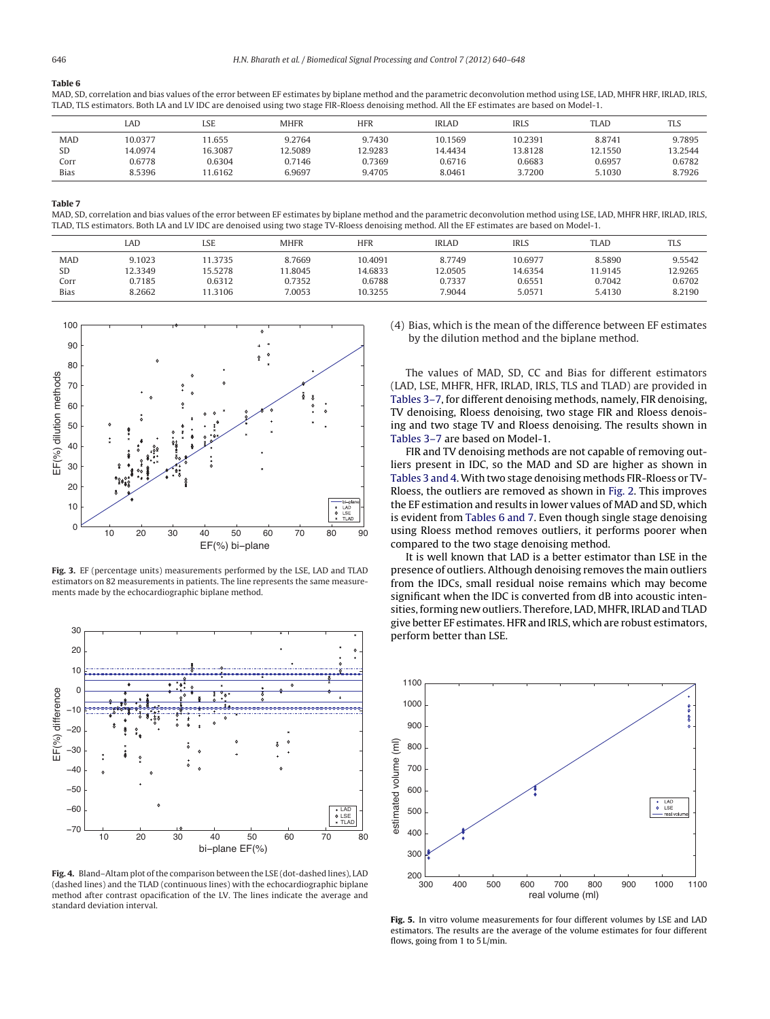# <span id="page-7-0"></span>**Table 6**

MAD, SD, correlation and bias values of the error between EF estimates by biplane method and the parametric deconvolution method using LSE, LAD, MHFR HRF, IRLAD, IRLS, TLAD, TLS estimators. Both LA and LV IDC are denoised using two stage FIR-Rloess denoising method. All the EF estimates are based on Model-1.

|             | LAD     | LSE     | <b>MHFR</b> | <b>HFR</b> | <b>IRLAD</b> | <b>IRLS</b> | TLAD    | TLS     |
|-------------|---------|---------|-------------|------------|--------------|-------------|---------|---------|
| <b>MAD</b>  | 10.0377 | 1.655   | 9.2764      | 9.7430     | 10.1569      | 10.2391     | 8.8741  | 9.7895  |
| SD          | 14.0974 | 16.3087 | 12.5089     | 12.9283    | 14.4434      | 13.8128     | 12.1550 | 13.2544 |
| Corr        | 0.6778  | 0.6304  | 0.7146      | 0.7369     | 0.6716       | 0.6683      | 0.6957  | 0.6782  |
| <b>Bias</b> | 8.5396  | 1.6162  | 6.9697      | 9.4705     | 8.0461       | 3.7200      | 5.1030  | 8.7926  |

#### **Table 7**

MAD, SD, correlation and bias values of the error between EF estimates by biplane method and the parametric deconvolution method using LSE, LAD, MHFR HRF, IRLAD, IRLS, TLAD, TLS estimators. Both LA and LV IDC are denoised using two stage TV-Rloess denoising method. All the EF estimates are based on Model-1.

|             | LAD     | LSE     | <b>MHFR</b> | HFR     | <b>IRLAD</b> | IRLS    | TLAD    | TLS     |
|-------------|---------|---------|-------------|---------|--------------|---------|---------|---------|
| <b>MAD</b>  | 9.1023  | 11.3735 | 8.7669      | 10.4091 | 8.7749       | 10.6977 | 8.5890  | 9.5542  |
| SD          | 12.3349 | 15.5278 | 1.8045      | 14.6833 | 12.0505      | 14.6354 | 11.9145 | 12.9265 |
| Corr        | 0.7185  | 0.6312  | 0.7352      | 0.6788  | 0.7337       | 0.6551  | 0.7042  | 0.6702  |
| <b>Bias</b> | 8.2662  | 1.3106  | 7.0053      | 10.3255 | 7.9044       | 5.0571  | 5.4130  | 8.2190  |



**Fig. 3.** EF (percentage units) measurements performed by the LSE, LAD and TLAD estimators on 82 measurements in patients. The line represents the same measurements made by the echocardiographic biplane method.



Fig. 4. Bland-Altam plot of the comparison between the LSE (dot-dashed lines), LAD (dashed lines) and the TLAD (continuous lines) with the echocardiographic biplane method after contrast opacification of the LV. The lines indicate the average and standard deviation interval.

(4) Bias, which is the mean of the difference between EF estimates by the dilution method and the biplane method.

The values of MAD, SD, CC and Bias for different estimators (LAD, LSE, MHFR, HFR, IRLAD, IRLS, TLS and TLAD) are provided in [Tables](#page-6-0) 3–7, for different denoising methods, namely, FIR denoising, TV denoising, Rloess denoising, two stage FIR and Rloess denoising and two stage TV and Rloess denoising. The results shown in [Tables](#page-6-0) 3–7 are based on Model-1.

FIR and TV denoising methods are not capable of removing outliers present in IDC, so the MAD and SD are higher as shown in [Tables](#page-6-0) 3 and 4.With two stage denoising methods FIR-Rloess or TV-Rloess, the outliers are removed as shown in [Fig.](#page-5-0) 2. This improves the EF estimation and results in lower values of MAD and SD, which is evident from Tables 6 and 7. Even though single stage denoising using Rloess method removes outliers, it performs poorer when compared to the two stage denoising method.

It is well known that LAD is a better estimator than LSE in the presence of outliers. Although denoising removes the main outliers from the IDCs, small residual noise remains which may become significant when the IDC is converted from dB into acoustic intensities, forming new outliers. Therefore, LAD, MHFR, IRLAD and TLAD give better EF estimates. HFR and IRLS, which are robust estimators, perform better than LSE.



**Fig. 5.** In vitro volume measurements for four different volumes by LSE and LAD estimators. The results are the average of the volume estimates for four different flows, going from 1 to 5 L/min.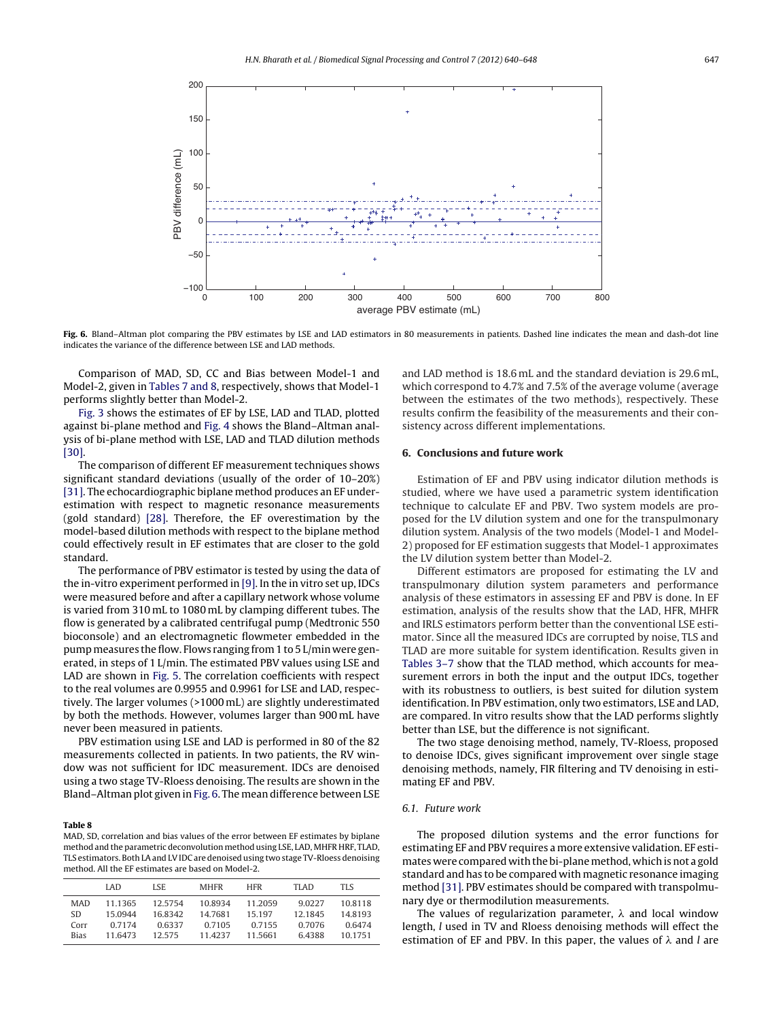<span id="page-8-0"></span>

Fig. 6. Bland-Altman plot comparing the PBV estimates by LSE and LAD estimators in 80 measurements in patients. Dashed line indicates the mean and dash-dot line indicates the variance of the difference between LSE and LAD methods.

Comparison of MAD, SD, CC and Bias between Model-1 and Model-2, given in [Tables](#page-7-0) 7 and 8, respectively, shows that Model-1 performs slightly better than Model-2.

[Fig.](#page-7-0) 3 shows the estimates of EF by LSE, LAD and TLAD, plotted against bi-plane method and [Fig.](#page-7-0) 4 shows the Bland–Altman analysis of bi-plane method with LSE, LAD and TLAD dilution methods [\[30\].](#page-9-0)

The comparison of different EF measurement techniques shows significant standard deviations (usually of the order of 10–20%) [\[31\].](#page-9-0) The echocardiographic biplane method produces an EF underestimation with respect to magnetic resonance measurements (gold standard) [\[28\].](#page-9-0) Therefore, the EF overestimation by the model-based dilution methods with respect to the biplane method could effectively result in EF estimates that are closer to the gold standard.

The performance of PBV estimator is tested by using the data of the in-vitro experiment performed in [\[9\].](#page-9-0) In the in vitro set up, IDCs were measured before and after a capillary network whose volume is varied from 310 mL to 1080 mL by clamping different tubes. The flow is generated by a calibrated centrifugal pump (Medtronic 550 bioconsole) and an electromagnetic flowmeter embedded in the pump measures the flow. Flows ranging from 1 to 5 L/min were generated, in steps of 1 L/min. The estimated PBV values using LSE and LAD are shown in [Fig.](#page-7-0) 5. The correlation coefficients with respect to the real volumes are 0.9955 and 0.9961 for LSE and LAD, respectively. The larger volumes (>1000 mL) are slightly underestimated by both the methods. However, volumes larger than 900 mL have never been measured in patients.

PBV estimation using LSE and LAD is performed in 80 of the 82 measurements collected in patients. In two patients, the RV window was not sufficient for IDC measurement. IDCs are denoised using a two stage TV-Rloess denoising. The results are shown in the Bland–Altman plot given in Fig. 6. The mean difference between LSE

### **Table 8**

MAD, SD, correlation and bias values of the error between EF estimates by biplane method and the parametric deconvolution method using LSE, LAD, MHFR HRF, TLAD, TLS estimators. Both LAand LVIDC are denoised using two stage TV-Rloess denoising method. All the EF estimates are based on Model-2.

|             | LAD     | LSE.   | MHFR    | HFR       | TI AD   | TI S    |
|-------------|---------|--------|---------|-----------|---------|---------|
| <b>MAD</b>  | 11 1365 | 125754 | 108934  | 11 2059   | 90227   | 108118  |
| SD.         | 15 0944 | 168342 | 14.7681 | 15 197    | 12 1845 | 148193  |
| Corr        | 0.7174  | 0.6337 | 0.7105  | 0 7 1 5 5 | 0.7076  | 0.6474  |
| <b>Bias</b> | 11 6473 | 12.575 | 11.4237 | 11 5661   | 64388   | 10.1751 |

and LAD method is 18.6 mL and the standard deviation is 29.6 mL, which correspond to 4.7% and 7.5% of the average volume (average between the estimates of the two methods), respectively. These results confirm the feasibility of the measurements and their consistency across different implementations.

## **6. Conclusions and future work**

Estimation of EF and PBV using indicator dilution methods is studied, where we have used a parametric system identification technique to calculate EF and PBV. Two system models are proposed for the LV dilution system and one for the transpulmonary dilution system. Analysis of the two models (Model-1 and Model-2) proposed for EF estimation suggests that Model-1 approximates the LV dilution system better than Model-2.

Different estimators are proposed for estimating the LV and transpulmonary dilution system parameters and performance analysis of these estimators in assessing EF and PBV is done. In EF estimation, analysis of the results show that the LAD, HFR, MHFR and IRLS estimators perform better than the conventional LSE estimator. Since all the measured IDCs are corrupted by noise, TLS and TLAD are more suitable for system identification. Results given in [Tables](#page-6-0) 3–7 show that the TLAD method, which accounts for measurement errors in both the input and the output IDCs, together with its robustness to outliers, is best suited for dilution system identification. In PBV estimation, only two estimators, LSE and LAD, are compared. In vitro results show that the LAD performs slightly better than LSE, but the difference is not significant.

The two stage denoising method, namely, TV-Rloess, proposed to denoise IDCs, gives significant improvement over single stage denoising methods, namely, FIR filtering and TV denoising in estimating EF and PBV.

# 6.1. Future work

The proposed dilution systems and the error functions for estimating EF and PBV requires a more extensive validation. EF estimates were compared with the bi-plane method, which is not a gold standard and has to be compared with magnetic resonance imaging method [\[31\].](#page-9-0) PBV estimates should be compared with transpolmunary dye or thermodilution measurements.

The values of regularization parameter,  $\lambda$  and local window length, l used in TV and Rloess denoising methods will effect the estimation of EF and PBV. In this paper, the values of  $\lambda$  and *l* are